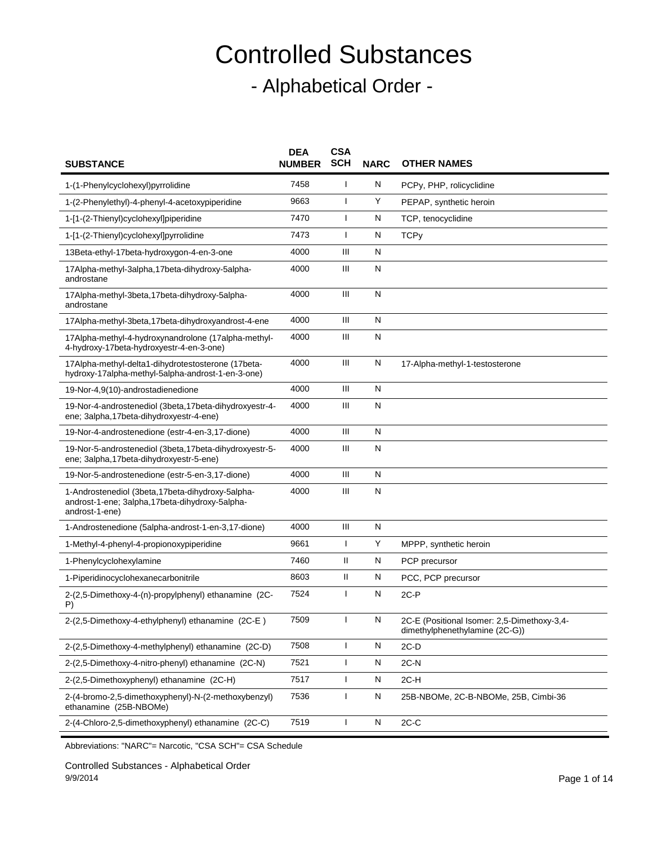## Controlled Substances - Alphabetical Order -

| <b>SUBSTANCE</b>                                                                                                       | <b>DEA</b><br><b>NUMBER</b> | <b>CSA</b><br><b>SCH</b> | <b>NARC</b>  | <b>OTHER NAMES</b>                                                            |
|------------------------------------------------------------------------------------------------------------------------|-----------------------------|--------------------------|--------------|-------------------------------------------------------------------------------|
| 1-(1-Phenylcyclohexyl)pyrrolidine                                                                                      | 7458                        | J.                       | N            | PCPy, PHP, rolicyclidine                                                      |
| 1-(2-Phenylethyl)-4-phenyl-4-acetoxypiperidine                                                                         | 9663                        | $\mathbf{I}$             | Y            | PEPAP, synthetic heroin                                                       |
| 1-[1-(2-Thienyl)cyclohexyl]piperidine                                                                                  | 7470                        | ı                        | N            | TCP, tenocyclidine                                                            |
| 1-[1-(2-Thienyl)cyclohexyl]pyrrolidine                                                                                 | 7473                        | $\mathbf{I}$             | N            | <b>TCPy</b>                                                                   |
| 13Beta-ethyl-17beta-hydroxygon-4-en-3-one                                                                              | 4000                        | Ш                        | N            |                                                                               |
| 17Alpha-methyl-3alpha,17beta-dihydroxy-5alpha-<br>androstane                                                           | 4000                        | Ш                        | $\mathsf{N}$ |                                                                               |
| 17Alpha-methyl-3beta,17beta-dihydroxy-5alpha-<br>androstane                                                            | 4000                        | Ш                        | $\mathsf{N}$ |                                                                               |
| 17Alpha-methyl-3beta,17beta-dihydroxyandrost-4-ene                                                                     | 4000                        | Ш                        | N            |                                                                               |
| 17Alpha-methyl-4-hydroxynandrolone (17alpha-methyl-<br>4-hydroxy-17beta-hydroxyestr-4-en-3-one)                        | 4000                        | Ш                        | $\mathsf{N}$ |                                                                               |
| 17Alpha-methyl-delta1-dihydrotestosterone (17beta-<br>hydroxy-17alpha-methyl-5alpha-androst-1-en-3-one)                | 4000                        | Ш                        | N            | 17-Alpha-methyl-1-testosterone                                                |
| 19-Nor-4,9(10)-androstadienedione                                                                                      | 4000                        | Ш                        | N            |                                                                               |
| 19-Nor-4-androstenediol (3beta, 17beta-dihydroxyestr-4-<br>ene; 3alpha, 17beta-dihydroxyestr-4-ene)                    | 4000                        | Ш                        | $\mathsf{N}$ |                                                                               |
| 19-Nor-4-androstenedione (estr-4-en-3,17-dione)                                                                        | 4000                        | Ш                        | $\mathsf{N}$ |                                                                               |
| 19-Nor-5-androstenediol (3beta, 17beta-dihydroxyestr-5-<br>ene; 3alpha, 17beta-dihydroxyestr-5-ene)                    | 4000                        | Ш                        | $\mathsf{N}$ |                                                                               |
| 19-Nor-5-androstenedione (estr-5-en-3,17-dione)                                                                        | 4000                        | Ш                        | N            |                                                                               |
| 1-Androstenediol (3beta, 17beta-dihydroxy-5alpha-<br>androst-1-ene; 3alpha, 17beta-dihydroxy-5alpha-<br>androst-1-ene) | 4000                        | III                      | N            |                                                                               |
| 1-Androstenedione (5alpha-androst-1-en-3,17-dione)                                                                     | 4000                        | Ш                        | N            |                                                                               |
| 1-Methyl-4-phenyl-4-propionoxypiperidine                                                                               | 9661                        | $\mathbf{I}$             | Y            | MPPP, synthetic heroin                                                        |
| 1-Phenylcyclohexylamine                                                                                                | 7460                        | Ш                        | $\mathsf{N}$ | PCP precursor                                                                 |
| 1-Piperidinocyclohexanecarbonitrile                                                                                    | 8603                        | Ш                        | N            | PCC, PCP precursor                                                            |
| 2-(2,5-Dimethoxy-4-(n)-propylphenyl) ethanamine (2C-<br>P)                                                             | 7524                        | $\overline{\phantom{a}}$ | $\mathsf{N}$ | $2C-P$                                                                        |
| 2-(2,5-Dimethoxy-4-ethylphenyl) ethanamine (2C-E)                                                                      | 7509                        | ı                        | N            | 2C-E (Positional Isomer: 2,5-Dimethoxy-3,4-<br>dimethylphenethylamine (2C-G)) |
| 2-(2,5-Dimethoxy-4-methylphenyl) ethanamine (2C-D)                                                                     | 7508                        |                          | N            | $2C-D$                                                                        |
| 2-(2,5-Dimethoxy-4-nitro-phenyl) ethanamine (2C-N)                                                                     | 7521                        | $\mathbf{I}$             | N            | $2C-N$                                                                        |
| 2-(2,5-Dimethoxyphenyl) ethanamine (2C-H)                                                                              | 7517                        | $\mathbf{I}$             | N            | 2C-H                                                                          |
| 2-(4-bromo-2,5-dimethoxyphenyl)-N-(2-methoxybenzyl)<br>ethanamine (25B-NBOMe)                                          | 7536                        | $\mathbf{I}$             | N            | 25B-NBOMe, 2C-B-NBOMe, 25B, Cimbi-36                                          |
| 2-(4-Chloro-2,5-dimethoxyphenyl) ethanamine (2C-C)                                                                     | 7519                        | $\mathbf{I}$             | N            | $2C-C$                                                                        |

Abbreviations: "NARC"= Narcotic, "CSA SCH"= CSA Schedule

Controlled Substances - Alphabetical Order 9/9/2014 Page 1 of 14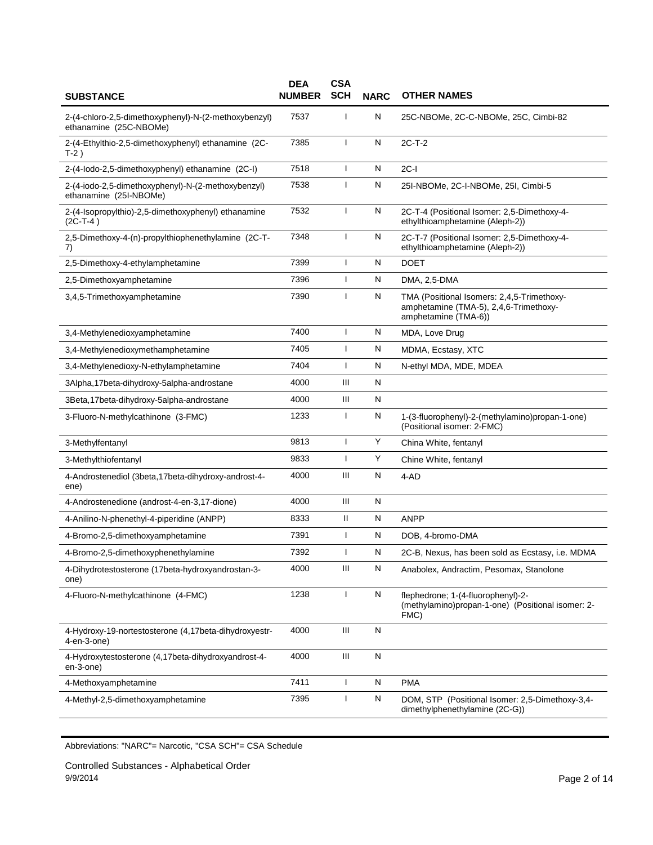| <b>SUBSTANCE</b>                                                               | <b>DEA</b><br><b>NUMBER</b> | <b>CSA</b><br><b>SCH</b> | <b>NARC</b> | <b>OTHER NAMES</b>                                                                                           |
|--------------------------------------------------------------------------------|-----------------------------|--------------------------|-------------|--------------------------------------------------------------------------------------------------------------|
| 2-(4-chloro-2,5-dimethoxyphenyl)-N-(2-methoxybenzyl)<br>ethanamine (25C-NBOMe) | 7537                        |                          | N           | 25C-NBOMe, 2C-C-NBOMe, 25C, Cimbi-82                                                                         |
| 2-(4-Ethylthio-2,5-dimethoxyphenyl) ethanamine (2C-<br>T-2)                    | 7385                        | $\mathbf{I}$             | N           | $2C-T-2$                                                                                                     |
| 2-(4-lodo-2,5-dimethoxyphenyl) ethanamine (2C-I)                               | 7518                        | T                        | N           | $2C-I$                                                                                                       |
| 2-(4-iodo-2,5-dimethoxyphenyl)-N-(2-methoxybenzyl)<br>ethanamine (25I-NBOMe)   | 7538                        | J.                       | N           | 25I-NBOMe, 2C-I-NBOMe, 25I, Cimbi-5                                                                          |
| 2-(4-Isopropylthio)-2,5-dimethoxyphenyl) ethanamine<br>$(2C-T-4)$              | 7532                        | $\mathbf{I}$             | N           | 2C-T-4 (Positional Isomer: 2,5-Dimethoxy-4-<br>ethylthioamphetamine (Aleph-2))                               |
| 2,5-Dimethoxy-4-(n)-propylthiophenethylamine (2C-T-<br>7)                      | 7348                        | T                        | N           | 2C-T-7 (Positional Isomer: 2,5-Dimethoxy-4-<br>ethylthioamphetamine (Aleph-2))                               |
| 2,5-Dimethoxy-4-ethylamphetamine                                               | 7399                        | T                        | N           | <b>DOET</b>                                                                                                  |
| 2,5-Dimethoxyamphetamine                                                       | 7396                        |                          | N           | DMA, 2,5-DMA                                                                                                 |
| 3,4,5-Trimethoxyamphetamine                                                    | 7390                        | $\mathbf{I}$             | N           | TMA (Positional Isomers: 2,4,5-Trimethoxy-<br>amphetamine (TMA-5), 2,4,6-Trimethoxy-<br>amphetamine (TMA-6)) |
| 3,4-Methylenedioxyamphetamine                                                  | 7400                        |                          | N           | MDA, Love Drug                                                                                               |
| 3,4-Methylenedioxymethamphetamine                                              | 7405                        | $\mathbf{I}$             | N           | MDMA, Ecstasy, XTC                                                                                           |
| 3,4-Methylenedioxy-N-ethylamphetamine                                          | 7404                        | $\mathbf{I}$             | N           | N-ethyl MDA, MDE, MDEA                                                                                       |
| 3Alpha,17beta-dihydroxy-5alpha-androstane                                      | 4000                        | Ш                        | N           |                                                                                                              |
| 3Beta, 17beta-dihydroxy-5alpha-androstane                                      | 4000                        | Ш                        | N           |                                                                                                              |
| 3-Fluoro-N-methylcathinone (3-FMC)                                             | 1233                        | $\mathbf{I}$             | N           | 1-(3-fluorophenyl)-2-(methylamino)propan-1-one)<br>(Positional isomer: 2-FMC)                                |
| 3-Methylfentanyl                                                               | 9813                        | J.                       | Y           | China White, fentanyl                                                                                        |
| 3-Methylthiofentanyl                                                           | 9833                        | $\mathbf{I}$             | Y           | Chine White, fentanyl                                                                                        |
| 4-Androstenediol (3beta,17beta-dihydroxy-androst-4-<br>ene)                    | 4000                        | Ш                        | N           | 4-AD                                                                                                         |
| 4-Androstenedione (androst-4-en-3,17-dione)                                    | 4000                        | Ш                        | N           |                                                                                                              |
| 4-Anilino-N-phenethyl-4-piperidine (ANPP)                                      | 8333                        | Ш                        | N           | <b>ANPP</b>                                                                                                  |
| 4-Bromo-2,5-dimethoxyamphetamine                                               | 7391                        | $\mathbf{I}$             | N           | DOB, 4-bromo-DMA                                                                                             |
| 4-Bromo-2,5-dimethoxyphenethylamine                                            | 7392                        | $\mathbf{I}$             | N           | 2C-B, Nexus, has been sold as Ecstasy, i.e. MDMA                                                             |
| 4-Dihydrotestosterone (17beta-hydroxyandrostan-3-<br>one)                      | 4000                        | Ш                        | N           | Anabolex, Andractim, Pesomax, Stanolone                                                                      |
| 4-Fluoro-N-methylcathinone (4-FMC)                                             | 1238                        | $\mathbf{I}$             | N           | flephedrone; 1-(4-fluorophenyl)-2-<br>(methylamino)propan-1-one) (Positional isomer: 2-<br>FMC)              |
| 4-Hydroxy-19-nortestosterone (4,17beta-dihydroxyestr-<br>$4$ -en- $3$ -one $)$ | 4000                        | Ш                        | N           |                                                                                                              |
| 4-Hydroxytestosterone (4,17beta-dihydroxyandrost-4-<br>en-3-one)               | 4000                        | Ш                        | N           |                                                                                                              |
| 4-Methoxyamphetamine                                                           | 7411                        | $\mathbf{I}$             | N           | <b>PMA</b>                                                                                                   |
| 4-Methyl-2,5-dimethoxyamphetamine                                              | 7395                        | $\mathbf{I}$             | N           | DOM, STP (Positional Isomer: 2,5-Dimethoxy-3,4-<br>dimethylphenethylamine (2C-G))                            |

Controlled Substances - Alphabetical Order 9/9/2014 Page 2 of 14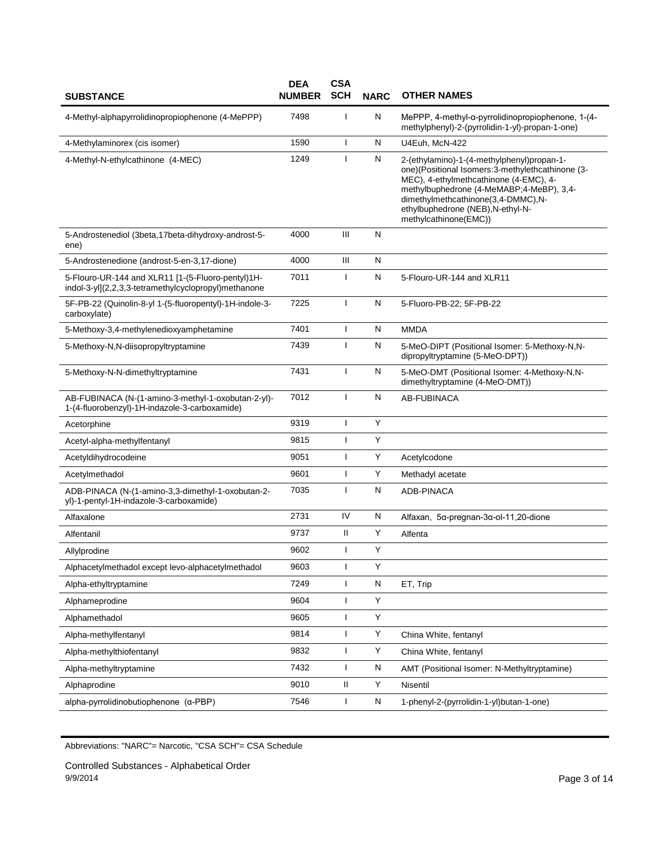| <b>SUBSTANCE</b>                                                                                          | <b>DEA</b><br><b>NUMBER</b> | <b>CSA</b><br><b>SCH</b> | <b>NARC</b>  | <b>OTHER NAMES</b>                                                                                                                                                                                                                                                                       |
|-----------------------------------------------------------------------------------------------------------|-----------------------------|--------------------------|--------------|------------------------------------------------------------------------------------------------------------------------------------------------------------------------------------------------------------------------------------------------------------------------------------------|
| 4-Methyl-alphapyrrolidinopropiophenone (4-MePPP)                                                          | 7498                        | I                        | N            | MePPP, 4-methyl-α-pyrrolidinopropiophenone, 1-(4-<br>methylphenyl)-2-(pyrrolidin-1-yl)-propan-1-one)                                                                                                                                                                                     |
| 4-Methylaminorex (cis isomer)                                                                             | 1590                        | T                        | N            | U4Euh, McN-422                                                                                                                                                                                                                                                                           |
| 4-Methyl-N-ethylcathinone (4-MEC)                                                                         | 1249                        | $\mathbf{I}$             | $\mathsf{N}$ | 2-(ethylamino)-1-(4-methylphenyl)propan-1-<br>one)(Positional Isomers:3-methylethcathinone (3-<br>MEC), 4-ethylmethcathinone (4-EMC), 4-<br>methylbuphedrone (4-MeMABP;4-MeBP), 3,4-<br>dimethylmethcathinone(3,4-DMMC),N-<br>ethylbuphedrone (NEB), N-ethyl-N-<br>methylcathinone(EMC)) |
| 5-Androstenediol (3beta, 17beta-dihydroxy-androst-5-<br>ene)                                              | 4000                        | $\mathbf{III}$           | $\mathsf{N}$ |                                                                                                                                                                                                                                                                                          |
| 5-Androstenedione (androst-5-en-3,17-dione)                                                               | 4000                        | $\mathbf{III}$           | N            |                                                                                                                                                                                                                                                                                          |
| 5-Flouro-UR-144 and XLR11 [1-(5-Fluoro-pentyl)1H-<br>indol-3-yl](2,2,3,3-tetramethylcyclopropyl)methanone | 7011                        | J.                       | N            | 5-Flouro-UR-144 and XLR11                                                                                                                                                                                                                                                                |
| 5F-PB-22 (Quinolin-8-yl 1-(5-fluoropentyl)-1H-indole-3-<br>carboxylate)                                   | 7225                        | ı                        | N            | 5-Fluoro-PB-22; 5F-PB-22                                                                                                                                                                                                                                                                 |
| 5-Methoxy-3,4-methylenedioxyamphetamine                                                                   | 7401                        | J                        | N            | <b>MMDA</b>                                                                                                                                                                                                                                                                              |
| 5-Methoxy-N,N-diisopropyltryptamine                                                                       | 7439                        | $\mathbf{I}$             | N            | 5-MeO-DIPT (Positional Isomer: 5-Methoxy-N,N-<br>dipropyltryptamine (5-MeO-DPT))                                                                                                                                                                                                         |
| 5-Methoxy-N-N-dimethyltryptamine                                                                          | 7431                        | $\mathbf{I}$             | $\mathsf{N}$ | 5-MeO-DMT (Positional Isomer: 4-Methoxy-N,N-<br>dimethyltryptamine (4-MeO-DMT))                                                                                                                                                                                                          |
| AB-FUBINACA (N-(1-amino-3-methyl-1-oxobutan-2-yl)-<br>1-(4-fluorobenzyl)-1H-indazole-3-carboxamide)       | 7012                        | J.                       | N            | AB-FUBINACA                                                                                                                                                                                                                                                                              |
| Acetorphine                                                                                               | 9319                        | I                        | Υ            |                                                                                                                                                                                                                                                                                          |
| Acetyl-alpha-methylfentanyl                                                                               | 9815                        | $\mathbf{I}$             | Y            |                                                                                                                                                                                                                                                                                          |
| Acetyldihydrocodeine                                                                                      | 9051                        | ı                        | Y            | Acetylcodone                                                                                                                                                                                                                                                                             |
| Acetylmethadol                                                                                            | 9601                        | $\mathbf{I}$             | Y            | Methadyl acetate                                                                                                                                                                                                                                                                         |
| ADB-PINACA (N-(1-amino-3,3-dimethyl-1-oxobutan-2-<br>yl)-1-pentyl-1H-indazole-3-carboxamide)              | 7035                        | $\mathbf{I}$             | $\mathsf{N}$ | <b>ADB-PINACA</b>                                                                                                                                                                                                                                                                        |
| Alfaxalone                                                                                                | 2731                        | IV                       | N            | Alfaxan, 5α-pregnan-3α-ol-11,20-dione                                                                                                                                                                                                                                                    |
| Alfentanil                                                                                                | 9737                        | Ш                        | Υ            | Alfenta                                                                                                                                                                                                                                                                                  |
| Allylprodine                                                                                              | 9602                        | $\mathbf{I}$             | Υ            |                                                                                                                                                                                                                                                                                          |
| Alphacetylmethadol except levo-alphacetylmethadol                                                         | 9603                        | ı                        | Υ            |                                                                                                                                                                                                                                                                                          |
| Alpha-ethyltryptamine                                                                                     | 7249                        | 1                        | N            | ET, Trip                                                                                                                                                                                                                                                                                 |
| Alphameprodine                                                                                            | 9604                        | I                        | Υ            |                                                                                                                                                                                                                                                                                          |
| Alphamethadol                                                                                             | 9605                        | J.                       | Y            |                                                                                                                                                                                                                                                                                          |
| Alpha-methylfentanyl                                                                                      | 9814                        | $\mathbf{I}$             | Υ            | China White, fentanyl                                                                                                                                                                                                                                                                    |
| Alpha-methylthiofentanyl                                                                                  | 9832                        | ı                        | Υ            | China White, fentanyl                                                                                                                                                                                                                                                                    |
| Alpha-methyltryptamine                                                                                    | 7432                        | J                        | N            | AMT (Positional Isomer: N-Methyltryptamine)                                                                                                                                                                                                                                              |
| Alphaprodine                                                                                              | 9010                        | Ш                        | Y            | Nisentil                                                                                                                                                                                                                                                                                 |
| $alpha$ -pyrrolidinobutiophenone $(\alpha$ -PBP)                                                          | 7546                        | I                        | N            | 1-phenyl-2-(pyrrolidin-1-yl)butan-1-one)                                                                                                                                                                                                                                                 |

Controlled Substances - Alphabetical Order 9/9/2014 Page 3 of 14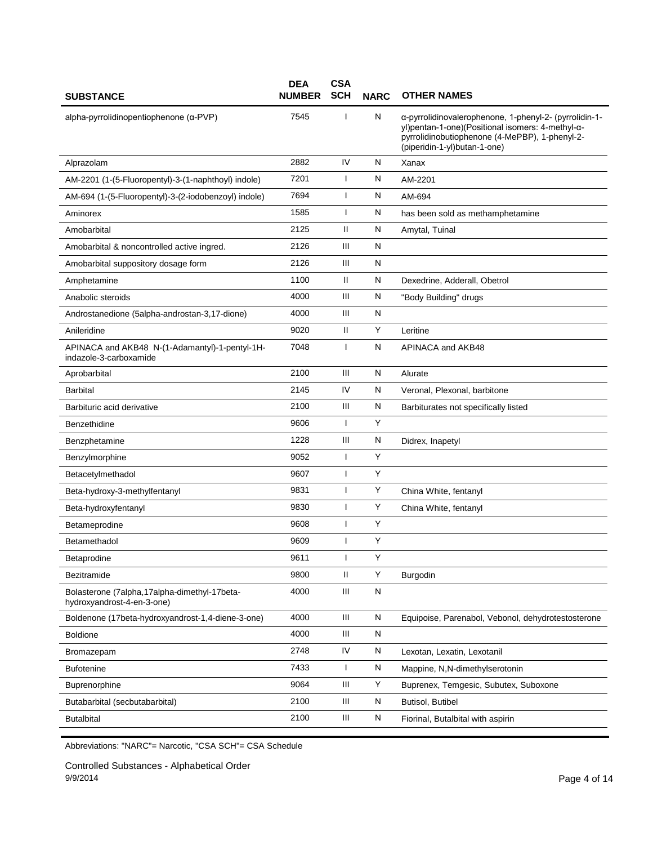| <b>SUBSTANCE</b>                                                           | <b>DEA</b><br><b>NUMBER</b> | <b>CSA</b><br><b>SCH</b> | <b>NARC</b> | <b>OTHER NAMES</b>                                                                                                                                                                           |
|----------------------------------------------------------------------------|-----------------------------|--------------------------|-------------|----------------------------------------------------------------------------------------------------------------------------------------------------------------------------------------------|
| $alpha$ -pyrrolidinopentiophenone ( $\alpha$ -PVP)                         | 7545                        | J                        | N           | a-pyrrolidinovalerophenone, 1-phenyl-2- (pyrrolidin-1-<br>yl)pentan-1-one)(Positional isomers: 4-methyl-α-<br>pyrrolidinobutiophenone (4-MePBP), 1-phenyl-2-<br>(piperidin-1-yl)butan-1-one) |
| Alprazolam                                                                 | 2882                        | IV                       | N           | Xanax                                                                                                                                                                                        |
| AM-2201 (1-(5-Fluoropentyl)-3-(1-naphthoyl) indole)                        | 7201                        | ı                        | N           | AM-2201                                                                                                                                                                                      |
| AM-694 (1-(5-Fluoropentyl)-3-(2-iodobenzoyl) indole)                       | 7694                        | ı                        | N           | AM-694                                                                                                                                                                                       |
| Aminorex                                                                   | 1585                        | I                        | N           | has been sold as methamphetamine                                                                                                                                                             |
| Amobarbital                                                                | 2125                        | $\mathbf{H}$             | N           | Amytal, Tuinal                                                                                                                                                                               |
| Amobarbital & noncontrolled active ingred.                                 | 2126                        | Ш                        | N           |                                                                                                                                                                                              |
| Amobarbital suppository dosage form                                        | 2126                        | Ш                        | N           |                                                                                                                                                                                              |
| Amphetamine                                                                | 1100                        | Ш                        | N           | Dexedrine, Adderall, Obetrol                                                                                                                                                                 |
| Anabolic steroids                                                          | 4000                        | Ш                        | N           | "Body Building" drugs                                                                                                                                                                        |
| Androstanedione (5alpha-androstan-3,17-dione)                              | 4000                        | Ш                        | N           |                                                                                                                                                                                              |
| Anileridine                                                                | 9020                        | $\mathbf{H}$             | Y           | Leritine                                                                                                                                                                                     |
| APINACA and AKB48 N-(1-Adamantyl)-1-pentyl-1H-<br>indazole-3-carboxamide   | 7048                        | T                        | N           | APINACA and AKB48                                                                                                                                                                            |
| Aprobarbital                                                               | 2100                        | Ш                        | N           | Alurate                                                                                                                                                                                      |
| <b>Barbital</b>                                                            | 2145                        | IV                       | N           | Veronal, Plexonal, barbitone                                                                                                                                                                 |
| Barbituric acid derivative                                                 | 2100                        | Ш                        | N           | Barbiturates not specifically listed                                                                                                                                                         |
| Benzethidine                                                               | 9606                        | ı                        | Y           |                                                                                                                                                                                              |
| Benzphetamine                                                              | 1228                        | Ш                        | N           | Didrex, Inapetyl                                                                                                                                                                             |
| Benzylmorphine                                                             | 9052                        | $\mathbf{I}$             | Y           |                                                                                                                                                                                              |
| Betacetylmethadol                                                          | 9607                        | ı                        | Y           |                                                                                                                                                                                              |
| Beta-hydroxy-3-methylfentanyl                                              | 9831                        | ı                        | Y           | China White, fentanyl                                                                                                                                                                        |
| Beta-hydroxyfentanyl                                                       | 9830                        | I                        | Y           | China White, fentanyl                                                                                                                                                                        |
| Betameprodine                                                              | 9608                        | J.                       | Y           |                                                                                                                                                                                              |
| Betamethadol                                                               | 9609                        | ı                        | Υ           |                                                                                                                                                                                              |
| Betaprodine                                                                | 9611                        |                          | Υ           |                                                                                                                                                                                              |
| Bezitramide                                                                | 9800                        | Ш                        | Y           | Burgodin                                                                                                                                                                                     |
| Bolasterone (7alpha,17alpha-dimethyl-17beta-<br>hydroxyandrost-4-en-3-one) | 4000                        | Ш                        | N           |                                                                                                                                                                                              |
| Boldenone (17beta-hydroxyandrost-1,4-diene-3-one)                          | 4000                        | Ш                        | N           | Equipoise, Parenabol, Vebonol, dehydrotestosterone                                                                                                                                           |
| <b>Boldione</b>                                                            | 4000                        | Ш                        | N           |                                                                                                                                                                                              |
| Bromazepam                                                                 | 2748                        | IV                       | N           | Lexotan, Lexatin, Lexotanil                                                                                                                                                                  |
| <b>Bufotenine</b>                                                          | 7433                        | T                        | N           | Mappine, N,N-dimethylserotonin                                                                                                                                                               |
| <b>Buprenorphine</b>                                                       | 9064                        | Ш                        | Υ           | Buprenex, Temgesic, Subutex, Suboxone                                                                                                                                                        |
| Butabarbital (secbutabarbital)                                             | 2100                        | Ш                        | N           | Butisol, Butibel                                                                                                                                                                             |
| <b>Butalbital</b>                                                          | 2100                        | Ш                        | N           | Fiorinal, Butalbital with aspirin                                                                                                                                                            |

Controlled Substances - Alphabetical Order 9/9/2014 Page 4 of 14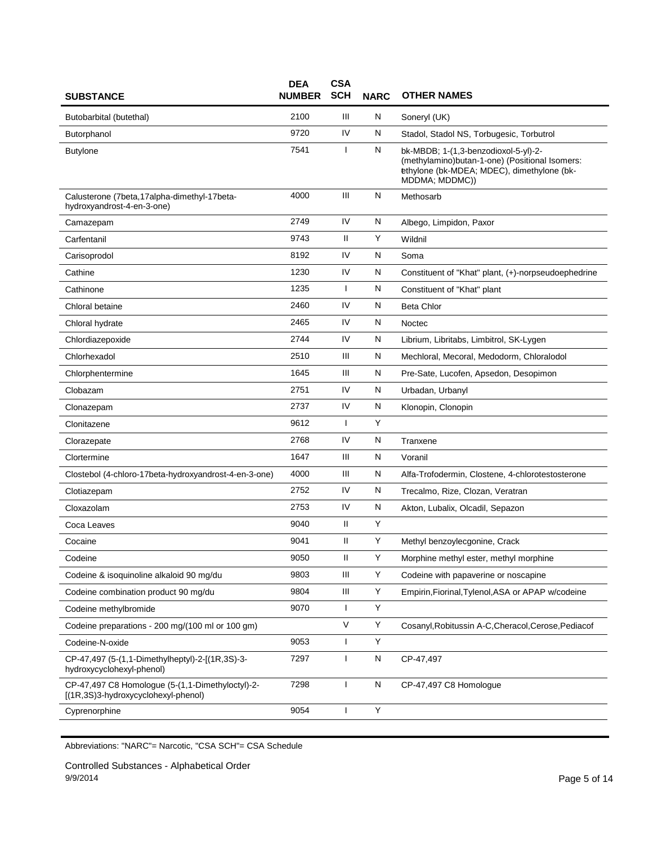| <b>SUBSTANCE</b>                                                                        | <b>DEA</b><br><b>NUMBER</b> | <b>CSA</b><br><b>SCH</b> | <b>NARC</b> | <b>OTHER NAMES</b>                                                                                                                                     |
|-----------------------------------------------------------------------------------------|-----------------------------|--------------------------|-------------|--------------------------------------------------------------------------------------------------------------------------------------------------------|
| Butobarbital (butethal)                                                                 | 2100                        | Ш                        | N           | Soneryl (UK)                                                                                                                                           |
| Butorphanol                                                                             | 9720                        | IV                       | N           | Stadol, Stadol NS, Torbugesic, Torbutrol                                                                                                               |
| <b>Butylone</b>                                                                         | 7541                        |                          | N           | bk-MBDB; 1-(1,3-benzodioxol-5-yl)-2-<br>(methylamino)butan-1-one) (Positional Isomers:<br>ethylone (bk-MDEA; MDEC), dimethylone (bk-<br>MDDMA; MDDMC)) |
| Calusterone (7beta, 17alpha-dimethyl-17beta-<br>hydroxyandrost-4-en-3-one)              | 4000                        | Ш                        | N           | Methosarb                                                                                                                                              |
| Camazepam                                                                               | 2749                        | IV                       | N           | Albego, Limpidon, Paxor                                                                                                                                |
| Carfentanil                                                                             | 9743                        | $\mathbf{H}$             | Υ           | Wildnil                                                                                                                                                |
| Carisoprodol                                                                            | 8192                        | IV                       | N           | Soma                                                                                                                                                   |
| Cathine                                                                                 | 1230                        | IV                       | N           | Constituent of "Khat" plant, (+)-norpseudoephedrine                                                                                                    |
| Cathinone                                                                               | 1235                        | $\mathbf{I}$             | N           | Constituent of "Khat" plant                                                                                                                            |
| Chloral betaine                                                                         | 2460                        | IV                       | N           | <b>Beta Chlor</b>                                                                                                                                      |
| Chloral hydrate                                                                         | 2465                        | IV                       | N           | Noctec                                                                                                                                                 |
| Chlordiazepoxide                                                                        | 2744                        | IV                       | Ν           | Librium, Libritabs, Limbitrol, SK-Lygen                                                                                                                |
| Chlorhexadol                                                                            | 2510                        | Ш                        | N           | Mechloral, Mecoral, Medodorm, Chloralodol                                                                                                              |
| Chlorphentermine                                                                        | 1645                        | Ш                        | Ν           | Pre-Sate, Lucofen, Apsedon, Desopimon                                                                                                                  |
| Clobazam                                                                                | 2751                        | IV                       | N           | Urbadan, Urbanyl                                                                                                                                       |
| Clonazepam                                                                              | 2737                        | IV                       | N           | Klonopin, Clonopin                                                                                                                                     |
| Clonitazene                                                                             | 9612                        | $\mathbf{I}$             | Y           |                                                                                                                                                        |
| Clorazepate                                                                             | 2768                        | IV                       | N           | Tranxene                                                                                                                                               |
| Clortermine                                                                             | 1647                        | Ш                        | N           | Voranil                                                                                                                                                |
| Clostebol (4-chloro-17beta-hydroxyandrost-4-en-3-one)                                   | 4000                        | Ш                        | N           | Alfa-Trofodermin, Clostene, 4-chlorotestosterone                                                                                                       |
| Clotiazepam                                                                             | 2752                        | IV                       | N           | Trecalmo, Rize, Clozan, Veratran                                                                                                                       |
| Cloxazolam                                                                              | 2753                        | IV                       | N           | Akton, Lubalix, Olcadil, Sepazon                                                                                                                       |
| Coca Leaves                                                                             | 9040                        | Ш                        | Y           |                                                                                                                                                        |
| Cocaine                                                                                 | 9041                        | Ш                        | Υ           | Methyl benzoylecgonine, Crack                                                                                                                          |
| Codeine                                                                                 | 9050                        | Ш                        | Υ           | Morphine methyl ester, methyl morphine                                                                                                                 |
| Codeine & isoquinoline alkaloid 90 mg/du                                                | 9803                        | Ш                        | Y           | Codeine with papaverine or noscapine                                                                                                                   |
| Codeine combination product 90 mg/du                                                    | 9804                        | Ш                        | Υ           | Empirin, Fiorinal, Tylenol, ASA or APAP w/codeine                                                                                                      |
| Codeine methylbromide                                                                   | 9070                        | $\mathbf{I}$             | Y           |                                                                                                                                                        |
| Codeine preparations - 200 mg/(100 ml or 100 gm)                                        |                             | V                        | Υ           | Cosanyl, Robitussin A-C, Cheracol, Cerose, Pediacof                                                                                                    |
| Codeine-N-oxide                                                                         | 9053                        | $\overline{\phantom{a}}$ | Υ           |                                                                                                                                                        |
| CP-47,497 (5-(1,1-Dimethylheptyl)-2-[(1R,3S)-3-<br>hydroxycyclohexyl-phenol)            | 7297                        | 1                        | N           | CP-47.497                                                                                                                                              |
| CP-47,497 C8 Homologue (5-(1,1-Dimethyloctyl)-2-<br>[(1R,3S)3-hydroxycyclohexyl-phenol) | 7298                        | T                        | N           | CP-47,497 C8 Homologue                                                                                                                                 |
| Cyprenorphine                                                                           | 9054                        | $\overline{\phantom{a}}$ | Υ           |                                                                                                                                                        |

Controlled Substances - Alphabetical Order 9/9/2014 Page 5 of 14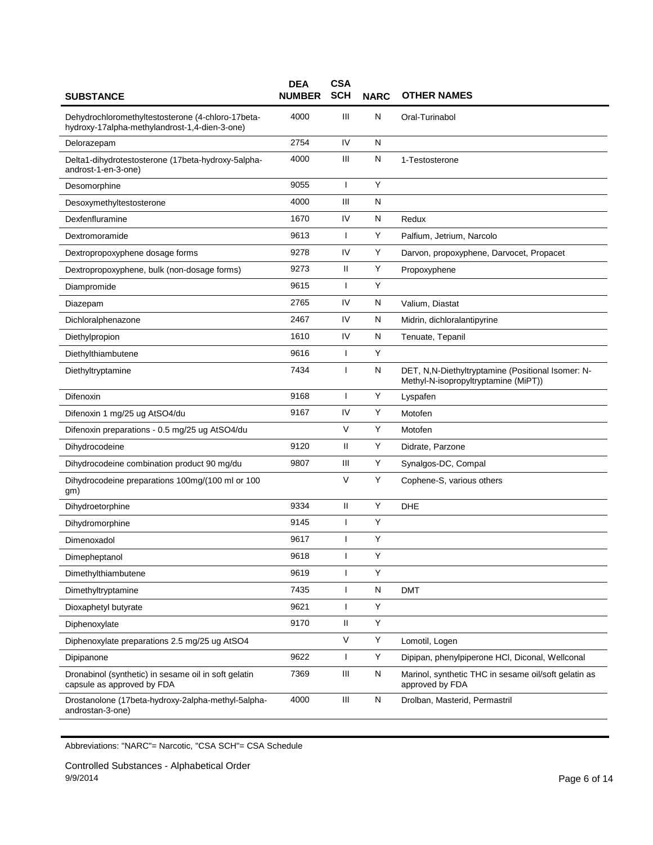| <b>SUBSTANCE</b>                                                                                   | <b>DEA</b><br><b>NUMBER</b> | <b>CSA</b><br><b>SCH</b> | <b>NARC</b>  | <b>OTHER NAMES</b>                                                                        |
|----------------------------------------------------------------------------------------------------|-----------------------------|--------------------------|--------------|-------------------------------------------------------------------------------------------|
| Dehydrochloromethyltestosterone (4-chloro-17beta-<br>hydroxy-17alpha-methylandrost-1,4-dien-3-one) | 4000                        | Ш                        | N            | Oral-Turinabol                                                                            |
| Delorazepam                                                                                        | 2754                        | IV                       | N            |                                                                                           |
| Delta1-dihydrotestosterone (17beta-hydroxy-5alpha-<br>androst-1-en-3-one)                          | 4000                        | Ш                        | N            | 1-Testosterone                                                                            |
| Desomorphine                                                                                       | 9055                        | $\mathbf{I}$             | Y            |                                                                                           |
| Desoxymethyltestosterone                                                                           | 4000                        | Ш                        | $\mathsf{N}$ |                                                                                           |
| Dexfenfluramine                                                                                    | 1670                        | IV                       | N            | Redux                                                                                     |
| Dextromoramide                                                                                     | 9613                        | ı                        | Υ            | Palfium, Jetrium, Narcolo                                                                 |
| Dextropropoxyphene dosage forms                                                                    | 9278                        | IV                       | Υ            | Darvon, propoxyphene, Darvocet, Propacet                                                  |
| Dextropropoxyphene, bulk (non-dosage forms)                                                        | 9273                        | Ш                        | Y            | Propoxyphene                                                                              |
| Diampromide                                                                                        | 9615                        | ı                        | Υ            |                                                                                           |
| Diazepam                                                                                           | 2765                        | IV                       | N            | Valium, Diastat                                                                           |
| Dichloralphenazone                                                                                 | 2467                        | IV                       | N            | Midrin, dichloralantipyrine                                                               |
| Diethylpropion                                                                                     | 1610                        | IV                       | N            | Tenuate, Tepanil                                                                          |
| Diethylthiambutene                                                                                 | 9616                        | $\mathbf{I}$             | Y            |                                                                                           |
| Diethyltryptamine                                                                                  | 7434                        | ш                        | N            | DET, N,N-Diethyltryptamine (Positional Isomer: N-<br>Methyl-N-isopropyltryptamine (MiPT)) |
| Difenoxin                                                                                          | 9168                        | ı                        | Υ            | Lyspafen                                                                                  |
| Difenoxin 1 mg/25 ug AtSO4/du                                                                      | 9167                        | IV                       | Υ            | Motofen                                                                                   |
| Difenoxin preparations - 0.5 mg/25 ug AtSO4/du                                                     |                             | V                        | Y            | Motofen                                                                                   |
| Dihydrocodeine                                                                                     | 9120                        | Ш                        | Υ            | Didrate, Parzone                                                                          |
| Dihydrocodeine combination product 90 mg/du                                                        | 9807                        | Ш                        | Υ            | Synalgos-DC, Compal                                                                       |
| Dihydrocodeine preparations 100mg/(100 ml or 100<br>gm)                                            |                             | V                        | Y            | Cophene-S, various others                                                                 |
| Dihydroetorphine                                                                                   | 9334                        | $\mathbf{H}$             | Υ            | <b>DHE</b>                                                                                |
| Dihydromorphine                                                                                    | 9145                        |                          | Y            |                                                                                           |
| Dimenoxadol                                                                                        | 9617                        | ı                        | Y            |                                                                                           |
| Dimepheptanol                                                                                      | 9618                        |                          | Υ            |                                                                                           |
| Dimethylthiambutene                                                                                | 9619                        | ı                        | Υ            |                                                                                           |
| Dimethyltryptamine                                                                                 | 7435                        | $\mathsf{I}$             | N            | <b>DMT</b>                                                                                |
| Dioxaphetyl butyrate                                                                               | 9621                        |                          | Y            |                                                                                           |
| Diphenoxylate                                                                                      | 9170                        | $\mathbf{H}$             | Υ            |                                                                                           |
| Diphenoxylate preparations 2.5 mg/25 ug AtSO4                                                      |                             | V                        | Υ            | Lomotil, Logen                                                                            |
| Dipipanone                                                                                         | 9622                        | $\mathbf{I}$             | Υ            | Dipipan, phenylpiperone HCI, Diconal, Wellconal                                           |
| Dronabinol (synthetic) in sesame oil in soft gelatin<br>capsule as approved by FDA                 | 7369                        | Ш                        | N            | Marinol, synthetic THC in sesame oil/soft gelatin as<br>approved by FDA                   |
| Drostanolone (17beta-hydroxy-2alpha-methyl-5alpha-<br>androstan-3-one)                             | 4000                        | Ш                        | N            | Drolban, Masterid, Permastril                                                             |

Controlled Substances - Alphabetical Order 9/9/2014 Page 6 of 14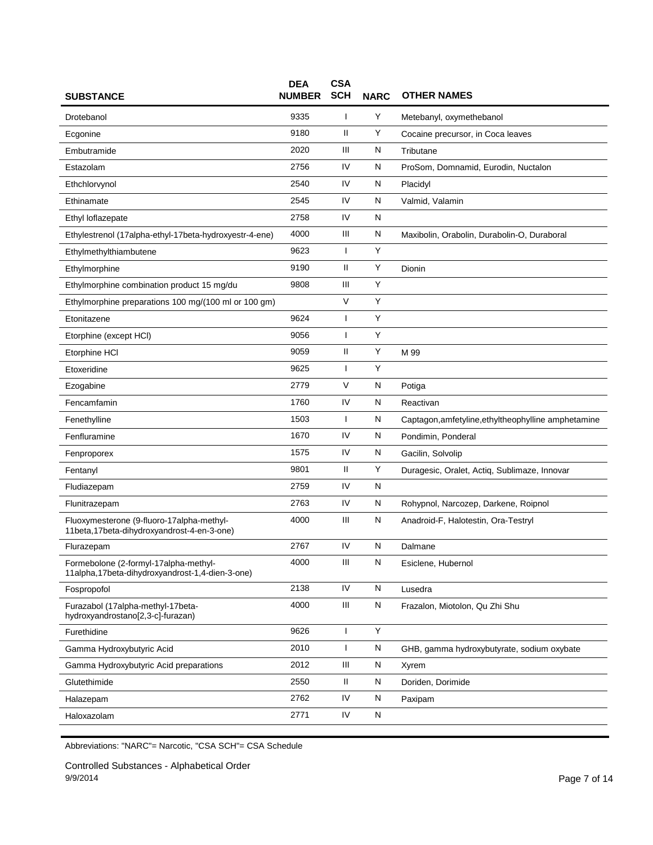| <b>SUBSTANCE</b>                                                                         | <b>DEA</b><br><b>NUMBER</b> | <b>CSA</b><br><b>SCH</b> | <b>NARC</b> | <b>OTHER NAMES</b>                                  |
|------------------------------------------------------------------------------------------|-----------------------------|--------------------------|-------------|-----------------------------------------------------|
| Drotebanol                                                                               | 9335                        | $\mathbf{I}$             | Y           | Metebanyl, oxymethebanol                            |
| Ecgonine                                                                                 | 9180                        | Ш                        | Y           | Cocaine precursor, in Coca leaves                   |
| Embutramide                                                                              | 2020                        | Ш                        | Ν           | Tributane                                           |
| Estazolam                                                                                | 2756                        | IV                       | N           | ProSom, Domnamid, Eurodin, Nuctalon                 |
| Ethchlorvynol                                                                            | 2540                        | IV                       | N           | Placidyl                                            |
| Ethinamate                                                                               | 2545                        | IV                       | N           | Valmid, Valamin                                     |
| Ethyl loflazepate                                                                        | 2758                        | IV                       | N           |                                                     |
| Ethylestrenol (17alpha-ethyl-17beta-hydroxyestr-4-ene)                                   | 4000                        | Ш                        | Ν           | Maxibolin, Orabolin, Durabolin-O, Duraboral         |
| Ethylmethylthiambutene                                                                   | 9623                        | T                        | Υ           |                                                     |
| Ethylmorphine                                                                            | 9190                        | Ш                        | Υ           | Dionin                                              |
| Ethylmorphine combination product 15 mg/du                                               | 9808                        | Ш                        | Υ           |                                                     |
| Ethylmorphine preparations 100 mg/(100 ml or 100 gm)                                     |                             | V                        | Υ           |                                                     |
| Etonitazene                                                                              | 9624                        | $\mathbf{I}$             | Υ           |                                                     |
| Etorphine (except HCI)                                                                   | 9056                        | $\mathbf{I}$             | Υ           |                                                     |
| Etorphine HCI                                                                            | 9059                        | Ш                        | Y           | M 99                                                |
| Etoxeridine                                                                              | 9625                        | J.                       | Υ           |                                                     |
| Ezogabine                                                                                | 2779                        | V                        | N           | Potiga                                              |
| Fencamfamin                                                                              | 1760                        | IV                       | Ν           | Reactivan                                           |
| Fenethylline                                                                             | 1503                        | ı                        | N           | Captagon, amfetyline, ethyltheophylline amphetamine |
| Fenfluramine                                                                             | 1670                        | IV                       | N           | Pondimin, Ponderal                                  |
| Fenproporex                                                                              | 1575                        | IV                       | N           | Gacilin, Solvolip                                   |
| Fentanyl                                                                                 | 9801                        | $\mathbf{H}$             | Y           | Duragesic, Oralet, Actiq, Sublimaze, Innovar        |
| Fludiazepam                                                                              | 2759                        | IV                       | N           |                                                     |
| Flunitrazepam                                                                            | 2763                        | IV                       | Ν           | Rohypnol, Narcozep, Darkene, Roipnol                |
| Fluoxymesterone (9-fluoro-17alpha-methyl-<br>11beta,17beta-dihydroxyandrost-4-en-3-one)  | 4000                        | $\mathbf{III}$           | N           | Anadroid-F, Halotestin, Ora-Testryl                 |
| Flurazepam                                                                               | 2767                        | IV                       | Ν           | Dalmane                                             |
| Formebolone (2-formyl-17alpha-methyl-<br>11alpha,17beta-dihydroxyandrost-1,4-dien-3-one) | 4000                        | Ш                        | N           | Esiclene, Hubernol                                  |
| Fospropofol                                                                              | 2138                        | IV                       | N           | Lusedra                                             |
| Furazabol (17alpha-methyl-17beta-<br>hydroxyandrostano[2,3-c]-furazan)                   | 4000                        | Ш                        | N           | Frazalon, Miotolon, Qu Zhi Shu                      |
| Furethidine                                                                              | 9626                        | $\mathbf{I}$             | Υ           |                                                     |
| Gamma Hydroxybutyric Acid                                                                | 2010                        | T                        | N           | GHB, gamma hydroxybutyrate, sodium oxybate          |
| Gamma Hydroxybutyric Acid preparations                                                   | 2012                        | Ш                        | N           | Xyrem                                               |
| Glutethimide                                                                             | 2550                        | Ш                        | N           | Doriden, Dorimide                                   |
| Halazepam                                                                                | 2762                        | IV                       | N           | Paxipam                                             |
| Haloxazolam                                                                              | 2771                        | IV                       | N           |                                                     |

Controlled Substances - Alphabetical Order 9/9/2014 Page 7 of 14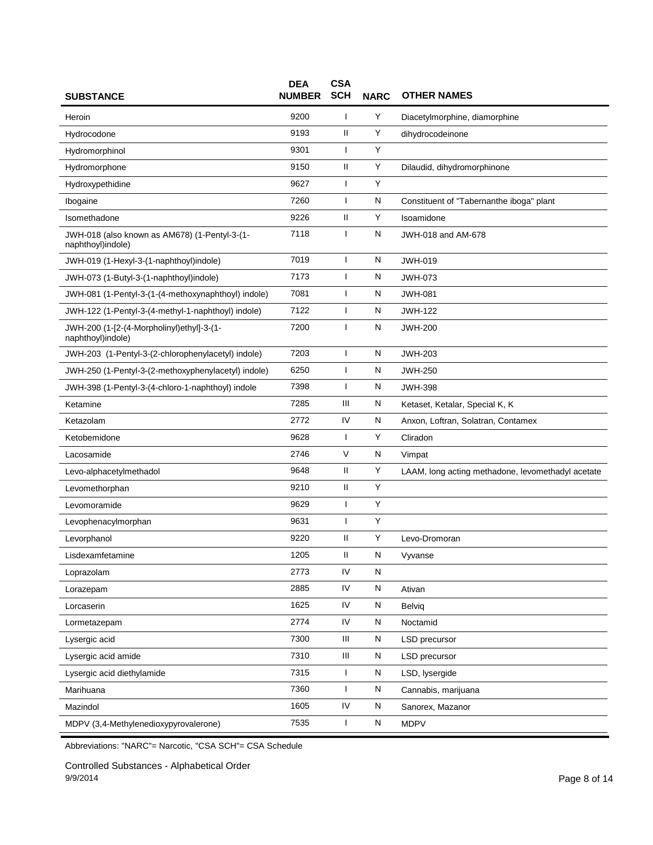| <b>SUBSTANCE</b>                                                   | <b>DEA</b><br><b>NUMBER</b> | <b>CSA</b><br><b>SCH</b> | <b>NARC</b> | <b>OTHER NAMES</b>                                |
|--------------------------------------------------------------------|-----------------------------|--------------------------|-------------|---------------------------------------------------|
| Heroin                                                             | 9200                        | ı                        | Υ           | Diacetylmorphine, diamorphine                     |
| Hydrocodone                                                        | 9193                        | Ш                        | Υ           | dihydrocodeinone                                  |
| Hydromorphinol                                                     | 9301                        | $\mathbf{I}$             | Y           |                                                   |
| Hydromorphone                                                      | 9150                        | Ш                        | Y           | Dilaudid, dihydromorphinone                       |
| Hydroxypethidine                                                   | 9627                        | ı                        | Υ           |                                                   |
| Ibogaine                                                           | 7260                        | $\mathbf{I}$             | N           | Constituent of "Tabernanthe iboga" plant          |
| Isomethadone                                                       | 9226                        | $\mathbf{H}$             | Υ           | Isoamidone                                        |
| JWH-018 (also known as AM678) (1-Pentyl-3-(1-<br>naphthoyl)indole) | 7118                        | ı                        | N           | JWH-018 and AM-678                                |
| JWH-019 (1-Hexyl-3-(1-naphthoyl)indole)                            | 7019                        | ı                        | N           | <b>JWH-019</b>                                    |
| JWH-073 (1-Butyl-3-(1-naphthoyl)indole)                            | 7173                        | $\mathbf{I}$             | N           | <b>JWH-073</b>                                    |
| JWH-081 (1-Pentyl-3-(1-(4-methoxynaphthoyl) indole)                | 7081                        | ı                        | N           | <b>JWH-081</b>                                    |
| JWH-122 (1-Pentyl-3-(4-methyl-1-naphthoyl) indole)                 | 7122                        | ı                        | N           | <b>JWH-122</b>                                    |
| JWH-200 (1-[2-(4-Morpholinyl)ethyl]-3-(1-<br>naphthoyl)indole)     | 7200                        | $\mathbf{I}$             | N           | <b>JWH-200</b>                                    |
| JWH-203 (1-Pentyl-3-(2-chlorophenylacetyl) indole)                 | 7203                        | $\mathbf{I}$             | N           | <b>JWH-203</b>                                    |
| JWH-250 (1-Pentyl-3-(2-methoxyphenylacetyl) indole)                | 6250                        | I                        | N           | <b>JWH-250</b>                                    |
| JWH-398 (1-Pentyl-3-(4-chloro-1-naphthoyl) indole                  | 7398                        | ı                        | N           | <b>JWH-398</b>                                    |
| Ketamine                                                           | 7285                        | Ш                        | N           | Ketaset, Ketalar, Special K, K                    |
| Ketazolam                                                          | 2772                        | IV                       | N           | Anxon, Loftran, Solatran, Contamex                |
| Ketobemidone                                                       | 9628                        | $\mathbf{I}$             | Y           | Cliradon                                          |
| Lacosamide                                                         | 2746                        | V                        | N           | Vimpat                                            |
| Levo-alphacetylmethadol                                            | 9648                        | Ш                        | Y           | LAAM, long acting methadone, levomethadyl acetate |
| Levomethorphan                                                     | 9210                        | $\mathbf{H}$             | Y           |                                                   |
| Levomoramide                                                       | 9629                        | ı                        | Y           |                                                   |
| Levophenacylmorphan                                                | 9631                        | I                        | Υ           |                                                   |
| Levorphanol                                                        | 9220                        | Ш                        | Y           | Levo-Dromoran                                     |
| Lisdexamfetamine                                                   | 1205                        | $\mathbf{H}$             | N           | Vyvanse                                           |
| Loprazolam                                                         | 2773                        | IV                       | N           |                                                   |
| Lorazepam                                                          | 2885                        | IV                       | ${\sf N}$   | Ativan                                            |
| Lorcaserin                                                         | 1625                        | IV                       | N           | Belvig                                            |
| Lormetazepam                                                       | 2774                        | IV                       | N           | Noctamid                                          |
| Lysergic acid                                                      | 7300                        | Ш                        | N           | <b>LSD</b> precursor                              |
| Lysergic acid amide                                                | 7310                        | Ш                        | ${\sf N}$   | LSD precursor                                     |
| Lysergic acid diethylamide                                         | 7315                        | $\mathbf{I}$             | N           | LSD, lysergide                                    |
| Marihuana                                                          | 7360                        | ı                        | N           | Cannabis, marijuana                               |
| Mazindol                                                           | 1605                        | IV                       | N           | Sanorex, Mazanor                                  |
| MDPV (3,4-Methylenedioxypyrovalerone)                              | 7535                        | ı                        | ${\sf N}$   | <b>MDPV</b>                                       |

Controlled Substances - Alphabetical Order 9/9/2014 Page 8 of 14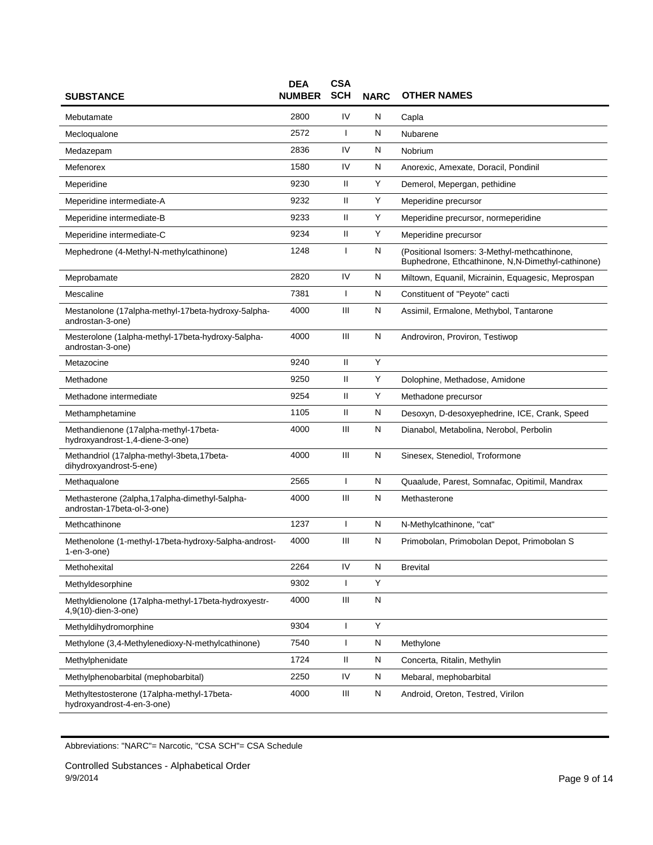| <b>SUBSTANCE</b>                                                              | <b>DEA</b><br><b>NUMBER</b> | <b>CSA</b><br><b>SCH</b> | <b>NARC</b> | <b>OTHER NAMES</b>                                                                                |
|-------------------------------------------------------------------------------|-----------------------------|--------------------------|-------------|---------------------------------------------------------------------------------------------------|
| Mebutamate                                                                    | 2800                        | IV                       | Ν           | Capla                                                                                             |
| Mecloqualone                                                                  | 2572                        | T                        | Ν           | Nubarene                                                                                          |
| Medazepam                                                                     | 2836                        | IV                       | Ν           | Nobrium                                                                                           |
| Mefenorex                                                                     | 1580                        | IV                       | Ν           | Anorexic, Amexate, Doracil, Pondinil                                                              |
| Meperidine                                                                    | 9230                        | Ш                        | Υ           | Demerol, Mepergan, pethidine                                                                      |
| Meperidine intermediate-A                                                     | 9232                        | $\mathbf{H}$             | Υ           | Meperidine precursor                                                                              |
| Meperidine intermediate-B                                                     | 9233                        | Ш                        | Y           | Meperidine precursor, normeperidine                                                               |
| Meperidine intermediate-C                                                     | 9234                        | Ш                        | Y           | Meperidine precursor                                                                              |
| Mephedrone (4-Methyl-N-methylcathinone)                                       | 1248                        | T                        | N           | (Positional Isomers: 3-Methyl-methcathinone,<br>Buphedrone, Ethcathinone, N,N-Dimethyl-cathinone) |
| Meprobamate                                                                   | 2820                        | IV                       | Ν           | Miltown, Equanil, Micrainin, Equagesic, Meprospan                                                 |
| Mescaline                                                                     | 7381                        | $\mathbf{I}$             | N           | Constituent of "Peyote" cacti                                                                     |
| Mestanolone (17alpha-methyl-17beta-hydroxy-5alpha-<br>androstan-3-one)        | 4000                        | Ш                        | N           | Assimil, Ermalone, Methybol, Tantarone                                                            |
| Mesterolone (1alpha-methyl-17beta-hydroxy-5alpha-<br>androstan-3-one)         | 4000                        | Ш                        | Ν           | Androviron, Proviron, Testiwop                                                                    |
| Metazocine                                                                    | 9240                        | $\mathbf{H}$             | Υ           |                                                                                                   |
| Methadone                                                                     | 9250                        | $\mathbf{H}$             | Y           | Dolophine, Methadose, Amidone                                                                     |
| Methadone intermediate                                                        | 9254                        | Ш                        | Y           | Methadone precursor                                                                               |
| Methamphetamine                                                               | 1105                        | $\mathbf{H}$             | Ν           | Desoxyn, D-desoxyephedrine, ICE, Crank, Speed                                                     |
| Methandienone (17alpha-methyl-17beta-<br>hydroxyandrost-1,4-diene-3-one)      | 4000                        | Ш                        | N           | Dianabol, Metabolina, Nerobol, Perbolin                                                           |
| Methandriol (17alpha-methyl-3beta,17beta-<br>dihydroxyandrost-5-ene)          | 4000                        | Ш                        | N           | Sinesex, Stenediol, Troformone                                                                    |
| Methaqualone                                                                  | 2565                        | T                        | Ν           | Quaalude, Parest, Somnafac, Opitimil, Mandrax                                                     |
| Methasterone (2alpha, 17alpha-dimethyl-5alpha-<br>androstan-17beta-ol-3-one)  | 4000                        | Ш                        | Ν           | Methasterone                                                                                      |
| Methcathinone                                                                 | 1237                        | $\mathbf{I}$             | N           | N-Methylcathinone, "cat"                                                                          |
| Methenolone (1-methyl-17beta-hydroxy-5alpha-androst-<br>$1$ -en- $3$ -one $)$ | 4000                        | Ш                        | Ν           | Primobolan, Primobolan Depot, Primobolan S                                                        |
| Methohexital                                                                  | 2264                        | IV                       | N           | <b>Brevital</b>                                                                                   |
| Methyldesorphine                                                              | 9302                        | T                        | Y           |                                                                                                   |
| Methyldienolone (17alpha-methyl-17beta-hydroxyestr-<br>4,9(10)-dien-3-one)    | 4000                        | Ш                        | N           |                                                                                                   |
| Methyldihydromorphine                                                         | 9304                        | $\mathbf{I}$             | Υ           |                                                                                                   |
| Methylone (3,4-Methylenedioxy-N-methylcathinone)                              | 7540                        | $\mathbf{I}$             | N           | Methylone                                                                                         |
| Methylphenidate                                                               | 1724                        | Ш                        | N           | Concerta, Ritalin, Methylin                                                                       |
| Methylphenobarbital (mephobarbital)                                           | 2250                        | IV                       | N           | Mebaral, mephobarbital                                                                            |
| Methyltestosterone (17alpha-methyl-17beta-<br>hydroxyandrost-4-en-3-one)      | 4000                        | Ш                        | N           | Android, Oreton, Testred, Virilon                                                                 |

Controlled Substances - Alphabetical Order 9/9/2014 Page 9 of 14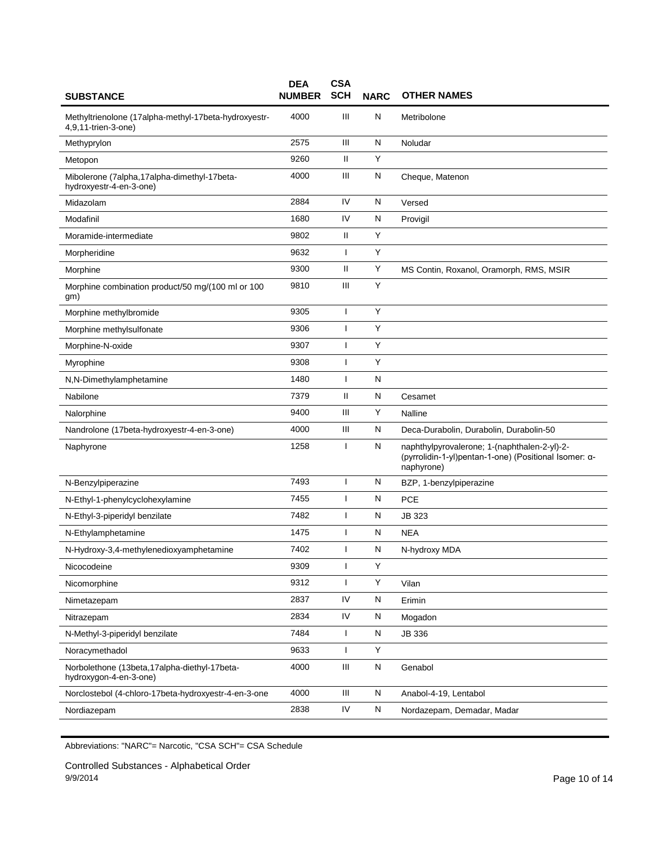| <b>SUBSTANCE</b>                                                            | <b>DEA</b><br><b>NUMBER</b> | <b>CSA</b><br><b>SCH</b> | <b>NARC</b> | <b>OTHER NAMES</b>                                                                                                  |
|-----------------------------------------------------------------------------|-----------------------------|--------------------------|-------------|---------------------------------------------------------------------------------------------------------------------|
| Methyltrienolone (17alpha-methyl-17beta-hydroxyestr-<br>4,9,11-trien-3-one) | 4000                        | Ш                        | N           | Metribolone                                                                                                         |
| Methyprylon                                                                 | 2575                        | Ш                        | N           | Noludar                                                                                                             |
| Metopon                                                                     | 9260                        | Ш                        | Y           |                                                                                                                     |
| Mibolerone (7alpha,17alpha-dimethyl-17beta-<br>hydroxyestr-4-en-3-one)      | 4000                        | Ш                        | Ν           | Cheque, Matenon                                                                                                     |
| Midazolam                                                                   | 2884                        | IV                       | N           | Versed                                                                                                              |
| Modafinil                                                                   | 1680                        | IV                       | N           | Provigil                                                                                                            |
| Moramide-intermediate                                                       | 9802                        | Ш                        | Y           |                                                                                                                     |
| Morpheridine                                                                | 9632                        | ı                        | Y           |                                                                                                                     |
| Morphine                                                                    | 9300                        | Ш                        | Y           | MS Contin, Roxanol, Oramorph, RMS, MSIR                                                                             |
| Morphine combination product/50 mg/(100 ml or 100<br>gm)                    | 9810                        | Ш                        | Υ           |                                                                                                                     |
| Morphine methylbromide                                                      | 9305                        | I                        | Y           |                                                                                                                     |
| Morphine methylsulfonate                                                    | 9306                        | I                        | Y           |                                                                                                                     |
| Morphine-N-oxide                                                            | 9307                        | $\mathbf{I}$             | Υ           |                                                                                                                     |
| Myrophine                                                                   | 9308                        | $\overline{\phantom{a}}$ | Υ           |                                                                                                                     |
| N,N-Dimethylamphetamine                                                     | 1480                        | I                        | N           |                                                                                                                     |
| Nabilone                                                                    | 7379                        | Ш                        | N           | Cesamet                                                                                                             |
| Nalorphine                                                                  | 9400                        | Ш                        | Υ           | Nalline                                                                                                             |
| Nandrolone (17beta-hydroxyestr-4-en-3-one)                                  | 4000                        | Ш                        | N           | Deca-Durabolin, Durabolin, Durabolin-50                                                                             |
| Naphyrone                                                                   | 1258                        | ı                        | N           | naphthylpyrovalerone; 1-(naphthalen-2-yl)-2-<br>(pyrrolidin-1-yl)pentan-1-one) (Positional Isomer: α-<br>naphyrone) |
| N-Benzylpiperazine                                                          | 7493                        | H                        | N           | BZP, 1-benzylpiperazine                                                                                             |
| N-Ethyl-1-phenylcyclohexylamine                                             | 7455                        | ı                        | N           | <b>PCE</b>                                                                                                          |
| N-Ethyl-3-piperidyl benzilate                                               | 7482                        | I                        | N           | JB 323                                                                                                              |
| N-Ethylamphetamine                                                          | 1475                        | I                        | N           | <b>NEA</b>                                                                                                          |
| N-Hydroxy-3,4-methylenedioxyamphetamine                                     | 7402                        | ı                        | N           | N-hydroxy MDA                                                                                                       |
| Nicocodeine                                                                 | 9309                        | $\mathbf{I}$             | Υ           |                                                                                                                     |
| Nicomorphine                                                                | 9312                        | ı                        | Υ           | Vilan                                                                                                               |
| Nimetazepam                                                                 | 2837                        | IV                       | N           | Erimin                                                                                                              |
| Nitrazepam                                                                  | 2834                        | IV                       | N           | Mogadon                                                                                                             |
| N-Methyl-3-piperidyl benzilate                                              | 7484                        | 1                        | N           | JB 336                                                                                                              |
| Noracymethadol                                                              | 9633                        | I                        | Υ           |                                                                                                                     |
| Norbolethone (13beta, 17alpha-diethyl-17beta-<br>hydroxygon-4-en-3-one)     | 4000                        | Ш                        | N           | Genabol                                                                                                             |
| Norclostebol (4-chloro-17beta-hydroxyestr-4-en-3-one                        | 4000                        | Ш                        | N           | Anabol-4-19, Lentabol                                                                                               |
| Nordiazepam                                                                 | 2838                        | IV                       | N           | Nordazepam, Demadar, Madar                                                                                          |

Controlled Substances - Alphabetical Order 9/9/2014 Page 10 of 14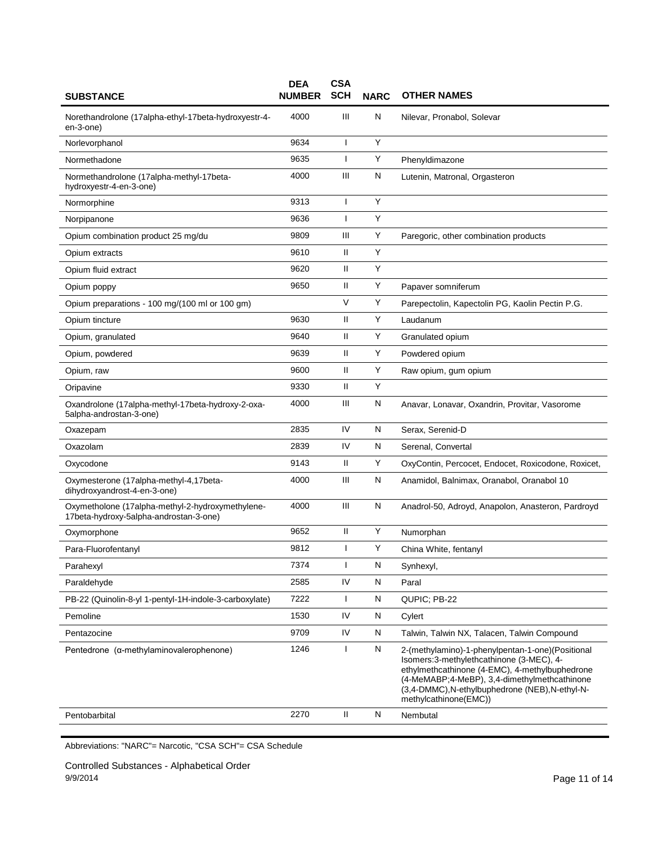| <b>SUBSTANCE</b>                                                                           | <b>DEA</b><br><b>NUMBER</b> | <b>CSA</b><br><b>SCH</b> | <b>NARC</b> | <b>OTHER NAMES</b>                                                                                                                                                                                                                                                           |
|--------------------------------------------------------------------------------------------|-----------------------------|--------------------------|-------------|------------------------------------------------------------------------------------------------------------------------------------------------------------------------------------------------------------------------------------------------------------------------------|
| Norethandrolone (17alpha-ethyl-17beta-hydroxyestr-4-<br>en-3-one)                          | 4000                        | Ш                        | N           | Nilevar, Pronabol, Solevar                                                                                                                                                                                                                                                   |
| Norlevorphanol                                                                             | 9634                        |                          | Y           |                                                                                                                                                                                                                                                                              |
| Normethadone                                                                               | 9635                        | $\mathbf{I}$             | Y           | Phenyldimazone                                                                                                                                                                                                                                                               |
| Normethandrolone (17alpha-methyl-17beta-<br>hydroxyestr-4-en-3-one)                        | 4000                        | Ш                        | N           | Lutenin, Matronal, Orgasteron                                                                                                                                                                                                                                                |
| Normorphine                                                                                | 9313                        | ı                        | Y           |                                                                                                                                                                                                                                                                              |
| Norpipanone                                                                                | 9636                        | ı                        | Υ           |                                                                                                                                                                                                                                                                              |
| Opium combination product 25 mg/du                                                         | 9809                        | Ш                        | Y           | Paregoric, other combination products                                                                                                                                                                                                                                        |
| Opium extracts                                                                             | 9610                        | $\mathbf{H}$             | Y           |                                                                                                                                                                                                                                                                              |
| Opium fluid extract                                                                        | 9620                        | Ш                        | Y           |                                                                                                                                                                                                                                                                              |
| Opium poppy                                                                                | 9650                        | Ш                        | Y           | Papaver somniferum                                                                                                                                                                                                                                                           |
| Opium preparations - 100 mg/(100 ml or 100 gm)                                             |                             | $\vee$                   | Y           | Parepectolin, Kapectolin PG, Kaolin Pectin P.G.                                                                                                                                                                                                                              |
| Opium tincture                                                                             | 9630                        | $\mathbf{H}$             | Y           | Laudanum                                                                                                                                                                                                                                                                     |
| Opium, granulated                                                                          | 9640                        | Ш                        | Y           | Granulated opium                                                                                                                                                                                                                                                             |
| Opium, powdered                                                                            | 9639                        | $\mathbf{H}$             | Υ           | Powdered opium                                                                                                                                                                                                                                                               |
| Opium, raw                                                                                 | 9600                        | $\mathbf{H}$             | Y           | Raw opium, gum opium                                                                                                                                                                                                                                                         |
| Oripavine                                                                                  | 9330                        | $\mathbf{H}$             | Υ           |                                                                                                                                                                                                                                                                              |
| Oxandrolone (17alpha-methyl-17beta-hydroxy-2-oxa-<br>5alpha-androstan-3-one)               | 4000                        | Ш                        | N           | Anavar, Lonavar, Oxandrin, Provitar, Vasorome                                                                                                                                                                                                                                |
| Oxazepam                                                                                   | 2835                        | IV                       | N           | Serax, Serenid-D                                                                                                                                                                                                                                                             |
| Oxazolam                                                                                   | 2839                        | IV                       | N           | Serenal, Convertal                                                                                                                                                                                                                                                           |
| Oxycodone                                                                                  | 9143                        | $\mathbf{I}$             | Y           | OxyContin, Percocet, Endocet, Roxicodone, Roxicet,                                                                                                                                                                                                                           |
| Oxymesterone (17alpha-methyl-4,17beta-<br>dihydroxyandrost-4-en-3-one)                     | 4000                        | Ш                        | N           | Anamidol, Balnimax, Oranabol, Oranabol 10                                                                                                                                                                                                                                    |
| Oxymetholone (17alpha-methyl-2-hydroxymethylene-<br>17beta-hydroxy-5alpha-androstan-3-one) | 4000                        | $\mathbf{III}$           | N           | Anadrol-50, Adroyd, Anapolon, Anasteron, Pardroyd                                                                                                                                                                                                                            |
| Oxymorphone                                                                                | 9652                        | $\mathbf{H}$             | Υ           | Numorphan                                                                                                                                                                                                                                                                    |
| Para-Fluorofentanyl                                                                        | 9812                        |                          | Υ           | China White, fentanyl                                                                                                                                                                                                                                                        |
| Parahexyl                                                                                  | 7374                        | $\mathbf{I}$             | N           | Synhexyl,                                                                                                                                                                                                                                                                    |
| Paraldehyde                                                                                | 2585                        | IV                       | N           | Paral                                                                                                                                                                                                                                                                        |
| PB-22 (Quinolin-8-yl 1-pentyl-1H-indole-3-carboxylate)                                     | 7222                        | $\mathbf{I}$             | N           | QUPIC; PB-22                                                                                                                                                                                                                                                                 |
| Pemoline                                                                                   | 1530                        | IV                       | N           | Cylert                                                                                                                                                                                                                                                                       |
| Pentazocine                                                                                | 9709                        | IV                       | N           | Talwin, Talwin NX, Talacen, Talwin Compound                                                                                                                                                                                                                                  |
| Pentedrone (a-methylaminovalerophenone)                                                    | 1246                        | $\mathbf{I}$             | ${\sf N}$   | 2-(methylamino)-1-phenylpentan-1-one)(Positional<br>Isomers: 3-methylethcathinone (3-MEC), 4-<br>ethylmethcathinone (4-EMC), 4-methylbuphedrone<br>(4-MeMABP; 4-MeBP), 3,4-dimethylmethcathinone<br>(3,4-DMMC), N-ethylbuphedrone (NEB), N-ethyl-N-<br>methylcathinone(EMC)) |
| Pentobarbital                                                                              | 2270                        | $\rm H$                  | N           | Nembutal                                                                                                                                                                                                                                                                     |
|                                                                                            |                             |                          |             |                                                                                                                                                                                                                                                                              |

Controlled Substances - Alphabetical Order 9/9/2014 Page 11 of 14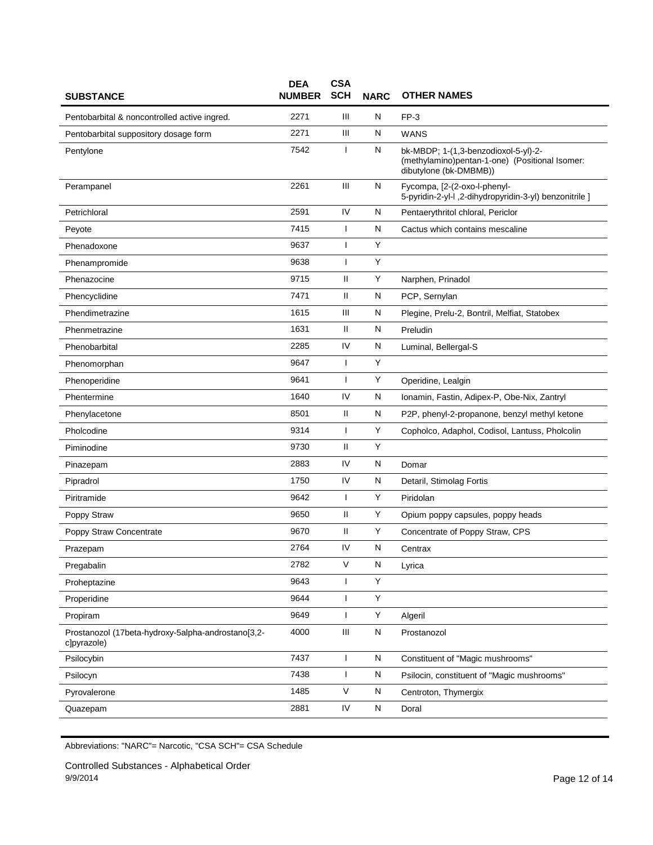| <b>SUBSTANCE</b>                                                  | <b>DEA</b><br><b>NUMBER</b> | <b>CSA</b><br><b>SCH</b> | <b>NARC</b>  | <b>OTHER NAMES</b>                                                                                               |
|-------------------------------------------------------------------|-----------------------------|--------------------------|--------------|------------------------------------------------------------------------------------------------------------------|
| Pentobarbital & noncontrolled active ingred.                      | 2271                        | Ш                        | N            | $FP-3$                                                                                                           |
| Pentobarbital suppository dosage form                             | 2271                        | Ш                        | Ν            | <b>WANS</b>                                                                                                      |
| Pentylone                                                         | 7542                        |                          | N            | bk-MBDP; 1-(1,3-benzodioxol-5-yl)-2-<br>(methylamino)pentan-1-one) (Positional Isomer:<br>dibutylone (bk-DMBMB)) |
| Perampanel                                                        | 2261                        | III                      | N            | Fycompa, [2-(2-oxo-l-phenyl-<br>5-pyridin-2-yl-l ,2-dihydropyridin-3-yl) benzonitrile ]                          |
| Petrichloral                                                      | 2591                        | IV                       | N            | Pentaerythritol chloral, Periclor                                                                                |
| Peyote                                                            | 7415                        | $\mathbf{I}$             | N            | Cactus which contains mescaline                                                                                  |
| Phenadoxone                                                       | 9637                        | ı                        | Υ            |                                                                                                                  |
| Phenampromide                                                     | 9638                        | T                        | Υ            |                                                                                                                  |
| Phenazocine                                                       | 9715                        | Ш                        | Y            | Narphen, Prinadol                                                                                                |
| Phencyclidine                                                     | 7471                        | $\mathbf{I}$             | N            | PCP, Sernylan                                                                                                    |
| Phendimetrazine                                                   | 1615                        | Ш                        | N            | Plegine, Prelu-2, Bontril, Melfiat, Statobex                                                                     |
| Phenmetrazine                                                     | 1631                        | Ш                        | N            | Preludin                                                                                                         |
| Phenobarbital                                                     | 2285                        | IV                       | N            | Luminal, Bellergal-S                                                                                             |
| Phenomorphan                                                      | 9647                        | T                        | Υ            |                                                                                                                  |
| Phenoperidine                                                     | 9641                        | J.                       | Y            | Operidine, Lealgin                                                                                               |
| Phentermine                                                       | 1640                        | IV                       | N            | Ionamin, Fastin, Adipex-P, Obe-Nix, Zantryl                                                                      |
| Phenylacetone                                                     | 8501                        | Ш                        | N            | P2P, phenyl-2-propanone, benzyl methyl ketone                                                                    |
| Pholcodine                                                        | 9314                        | T                        | Y            | Copholco, Adaphol, Codisol, Lantuss, Pholcolin                                                                   |
| Piminodine                                                        | 9730                        | Ш                        | Y            |                                                                                                                  |
| Pinazepam                                                         | 2883                        | IV                       | $\mathsf{N}$ | Domar                                                                                                            |
| Pipradrol                                                         | 1750                        | IV                       | N            | Detaril, Stimolag Fortis                                                                                         |
| Piritramide                                                       | 9642                        | $\mathbf{I}$             | Υ            | Piridolan                                                                                                        |
| Poppy Straw                                                       | 9650                        | Ш                        | Υ            | Opium poppy capsules, poppy heads                                                                                |
| Poppy Straw Concentrate                                           | 9670                        | Ш                        | Υ            | Concentrate of Poppy Straw, CPS                                                                                  |
| Prazepam                                                          | 2764                        | IV                       | Ν            | Centrax                                                                                                          |
| Pregabalin                                                        | 2782                        | $\vee$                   | N            | Lyrica                                                                                                           |
| Proheptazine                                                      | 9643                        | $\mathbf{I}$             | Y            |                                                                                                                  |
| Properidine                                                       | 9644                        | $\mathbf{I}$             | Υ            |                                                                                                                  |
| Propiram                                                          | 9649                        | T                        | Υ            | Algeril                                                                                                          |
| Prostanozol (17beta-hydroxy-5alpha-androstano[3,2-<br>c]pyrazole) | 4000                        | Ш                        | N            | Prostanozol                                                                                                      |
| Psilocybin                                                        | 7437                        | $\mathbf{I}$             | N            | Constituent of "Magic mushrooms"                                                                                 |
| Psilocyn                                                          | 7438                        | $\mathbf{I}$             | N            | Psilocin, constituent of "Magic mushrooms"                                                                       |
| Pyrovalerone                                                      | 1485                        | $\mathsf{V}$             | N            | Centroton, Thymergix                                                                                             |
| Quazepam                                                          | 2881                        | IV                       | N            | Doral                                                                                                            |

Controlled Substances - Alphabetical Order 9/9/2014 Page 12 of 14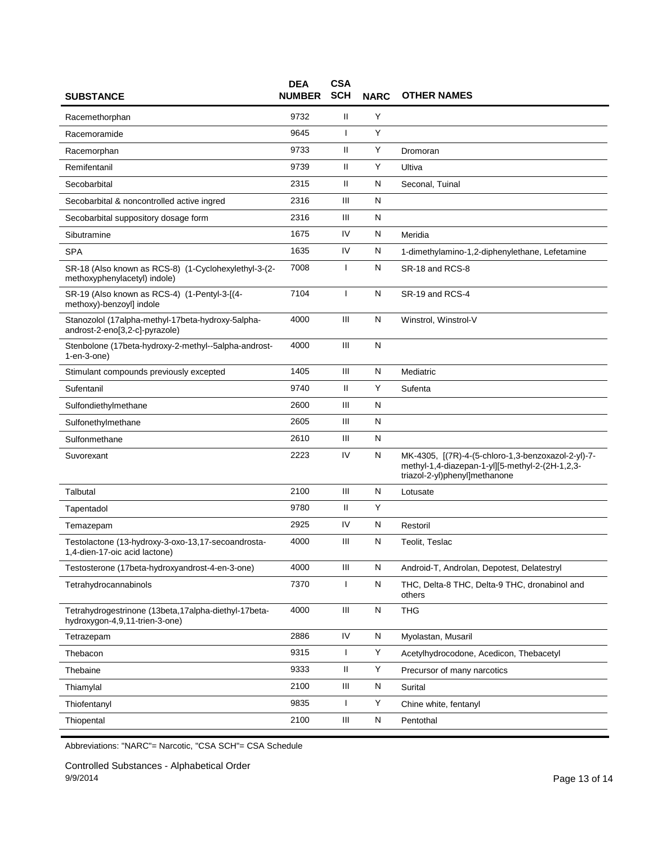| <b>SUBSTANCE</b>                                                                        | <b>DEA</b><br><b>NUMBER</b> | <b>CSA</b><br><b>SCH</b> | <b>NARC</b> | <b>OTHER NAMES</b>                                                                                                                     |
|-----------------------------------------------------------------------------------------|-----------------------------|--------------------------|-------------|----------------------------------------------------------------------------------------------------------------------------------------|
| Racemethorphan                                                                          | 9732                        | Ш                        | Y           |                                                                                                                                        |
| Racemoramide                                                                            | 9645                        | ı                        | Y           |                                                                                                                                        |
| Racemorphan                                                                             | 9733                        | $\mathbf{H}$             | Υ           | Dromoran                                                                                                                               |
| Remifentanil                                                                            | 9739                        | Ш                        | Y           | Ultiva                                                                                                                                 |
| Secobarbital                                                                            | 2315                        | Ш                        | N           | Seconal, Tuinal                                                                                                                        |
| Secobarbital & noncontrolled active ingred                                              | 2316                        | Ш                        | N           |                                                                                                                                        |
| Secobarbital suppository dosage form                                                    | 2316                        | Ш                        | N           |                                                                                                                                        |
| Sibutramine                                                                             | 1675                        | IV                       | N           | Meridia                                                                                                                                |
| <b>SPA</b>                                                                              | 1635                        | IV                       | N           | 1-dimethylamino-1,2-diphenylethane, Lefetamine                                                                                         |
| SR-18 (Also known as RCS-8) (1-Cyclohexylethyl-3-(2-<br>methoxyphenylacetyl) indole)    | 7008                        | ı                        | N           | SR-18 and RCS-8                                                                                                                        |
| SR-19 (Also known as RCS-4) (1-Pentyl-3-[(4-<br>methoxy)-benzoyl] indole                | 7104                        | H                        | N           | SR-19 and RCS-4                                                                                                                        |
| Stanozolol (17alpha-methyl-17beta-hydroxy-5alpha-<br>androst-2-eno[3,2-c]-pyrazole)     | 4000                        | Ш                        | N           | Winstrol, Winstrol-V                                                                                                                   |
| Stenbolone (17beta-hydroxy-2-methyl--5alpha-androst-<br>$1$ -en- $3$ -one $)$           | 4000                        | Ш                        | N           |                                                                                                                                        |
| Stimulant compounds previously excepted                                                 | 1405                        | Ш                        | N           | Mediatric                                                                                                                              |
| Sufentanil                                                                              | 9740                        | Ш                        | Y           | Sufenta                                                                                                                                |
| Sulfondiethylmethane                                                                    | 2600                        | Ш                        | N           |                                                                                                                                        |
| Sulfonethylmethane                                                                      | 2605                        | Ш                        | N           |                                                                                                                                        |
| Sulfonmethane                                                                           | 2610                        | $\mathbf{III}$           | ${\sf N}$   |                                                                                                                                        |
| Suvorexant                                                                              | 2223                        | IV                       | N           | MK-4305, [(7R)-4-(5-chloro-1,3-benzoxazol-2-yl)-7-<br>methyl-1,4-diazepan-1-yl][5-methyl-2-(2H-1,2,3-<br>triazol-2-yl)phenyl]methanone |
| Talbutal                                                                                | 2100                        | Ш                        | N           | Lotusate                                                                                                                               |
| Tapentadol                                                                              | 9780                        | $\mathbf{H}$             | Y           |                                                                                                                                        |
| Temazepam                                                                               | 2925                        | IV                       | N           | Restoril                                                                                                                               |
| Testolactone (13-hydroxy-3-oxo-13,17-secoandrosta-<br>1,4-dien-17-oic acid lactone)     | 4000                        | Ш                        | N           | Teolit, Teslac                                                                                                                         |
| Testosterone (17beta-hydroxyandrost-4-en-3-one)                                         | 4000                        | Ш                        | N           | Android-T, Androlan, Depotest, Delatestryl                                                                                             |
| Tetrahydrocannabinols                                                                   | 7370                        | $\mathbf{I}$             | N           | THC, Delta-8 THC, Delta-9 THC, dronabinol and<br>others                                                                                |
| Tetrahydrogestrinone (13beta, 17alpha-diethyl-17beta-<br>hydroxygon-4,9,11-trien-3-one) | 4000                        | Ш                        | N           | <b>THG</b>                                                                                                                             |
| Tetrazepam                                                                              | 2886                        | IV                       | N           | Myolastan, Musaril                                                                                                                     |
| Thebacon                                                                                | 9315                        | 1                        | Υ           | Acetylhydrocodone, Acedicon, Thebacetyl                                                                                                |
| Thebaine                                                                                | 9333                        | $\rm H$                  | Y           | Precursor of many narcotics                                                                                                            |
| Thiamylal                                                                               | 2100                        | Ш                        | N           | Surital                                                                                                                                |
| Thiofentanyl                                                                            | 9835                        | $\mathbf{I}$             | Υ           | Chine white, fentanyl                                                                                                                  |
| Thiopental                                                                              | 2100                        | Ш                        | N           | Pentothal                                                                                                                              |

Controlled Substances - Alphabetical Order 9/9/2014 Page 13 of 14